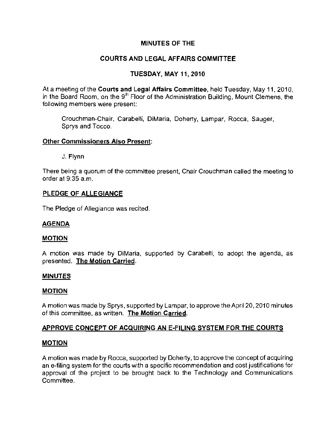## MINUTES OF THE

# COURTS AND LEGAL AFFAIRS COMMITTEE

## TUESDAY, MAY 11,2010

At a meeting of the Courts and Legal Affairs Committee, held Tuesday, May 11, 2010, in the Board Room, on the 9<sup>th</sup> Floor of the Administration Building, Mount Clemens, the following members were present:

Crouchman-Chair, Carabelli, DiMaria, Doherty, Lampar, Rocca, Sauger, Sprys and Tocco.

### **Other Commissioners Also Present:**

J. Flynn

**There being a quorum of the committee present, Chair Crouchman called the meeting to**  order at 9:35 a.m.

### PLEDGE OF ALLEGIANCE

The Pledge of Allegiance was recited.

## AGENDA

#### **MOTION**

A motion was made by DiMaria, supported by Carabelli, to adopt the agenda, as presented. The Motion Carried.

#### MINUTES

#### MOTION

A motion was made by Sprys, supported by Lampar, to approve the April 20, 20fO minutes **of this committee, as written. The Motion Carried.** 

## APPROVE CONCEPT OF ACQUIRING AN E-FILING SYSTEM FOR THE COURTS

#### MOTION

A motion was made by Rocca, supported by Doherty, to approve the concept of acquiring **an a-filing system far the courts with a specific recommendation and cost justifications for**  approval of the project to be brought back to the Technology and Communications **Committee.**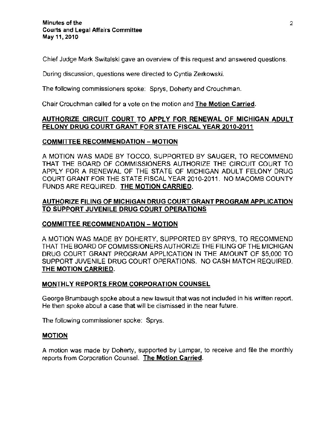**Chief Judge Mark Switalski gave an overview of this request and answered questions.** 

**During discussion, questions were directed to Cyntia Zerkowski.** 

The following commissioners spoke: Sprys, Doherty and Crouchman.

Chair Crouchman called for a vole on the molion and The Motion Carried.

## AUTHORIZE CIRCUIT COURT TO APPLY FOR RENEWAL OF MICHIGAN ADULT FELONY DRUG COURT GRANT FOR STATE FISCAL YEAR 2010·2011

### COMMITTEE RECOMMENDATION - MOTION

A MOTION WAS MADE BY TOCCO, SUPPORTED BY SAUGER, TO RECOMMEND THAT THE BOARD OF COMMISSIONERS AUTHORIZE THE CIRCUIT COURT TO APPLY FOR A RENEWAL OF THE STATE OF MICHIGAN ADULT FELONY DRUG COURT GRANT FOR THE STATE FISCAL YEAR 2010-2011. NO MACOMB COUNTY FUNDS ARE REQUIRED. THE MOTION CARRIED.

## AUTHORIZE FILING OF MICHIGAN DRUG COURT GRANT PROGRAM APPLICATION TO SUPPORT JUVENILE DRUG COURT OPERATIONS

## COMMITTEE RECOMMENDATION - MOTION

A MOTION WAS MADE BY DOHERTY, SUPPORTED BY SPRYS, TO RECOMMEND THAT THE BOARD OF COMMISSIONERS AUTHORIZE THE FILING OF THE MICHIGAN DRUG COURT GRANT PROGRAM APPLICATION IN THE AMOUNT OF \$5,000 TO SUPPORT JUVENILE DRUG COURT OPERATIONS. NO CASH MATCH REQUIRED. THE MOTION CARRIED.

#### MONTHLY REPORTS FROM CORPORATION COUNSEL

**George Brumbaugh spoke about a new lawsuit that was not included in his written report. He then spoke about a case that will be dismissed in the near future.** 

**The following commissioner spoke: Sprys.** 

#### MOTION

A motion was made by Doherty, supported by Lampar, to receive and file the monthly **reports from Corporation Counsel. The Motion Carried.**